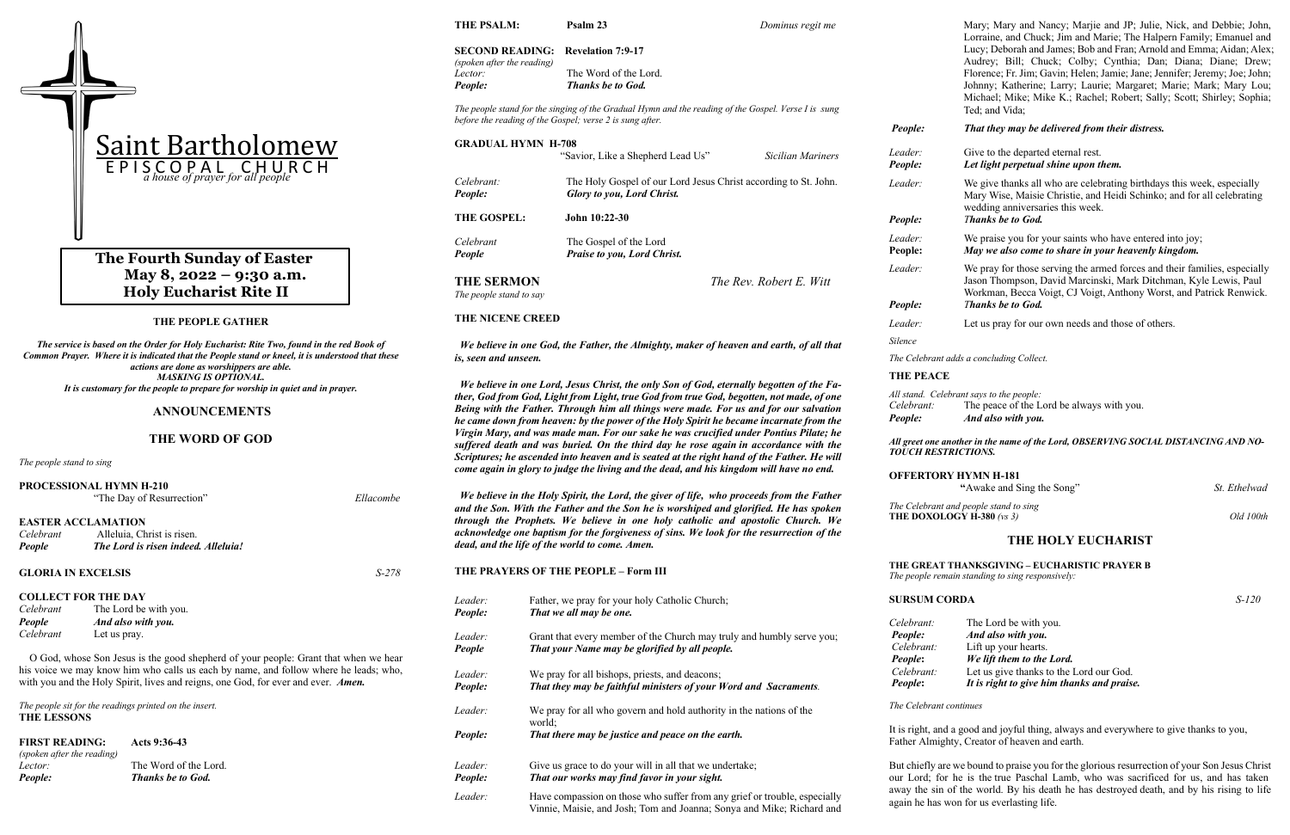### **THE PEOPLE GATHER**

*The service is based on the Order for Holy Eucharist: Rite Two, found in the red Book of Common Prayer. Where it is indicated that the People stand or kneel, it is understood that these actions are done as worshippers are able. MASKING IS OPTIONAL. It is customary for the people to prepare for worship in quiet and in prayer.*

### **ANNOUNCEMENTS**

### **THE WORD OF GOD**

*The people stand to sing*

|                           | PROCESSIONAL HYMN H-210<br>"The Day of Resurrection"                                                                                                                      | Ellacombe | И                      |
|---------------------------|---------------------------------------------------------------------------------------------------------------------------------------------------------------------------|-----------|------------------------|
| Celebrant<br>People       | <b>EASTER ACCLAMATION</b><br>Alleluia, Christ is risen.<br>The Lord is risen indeed. Alleluia!                                                                            |           | an<br>thr<br>acl<br>de |
| <b>GLORIA IN EXCELSIS</b> |                                                                                                                                                                           | S-278     | ТF                     |
|                           | <b>COLLECT FOR THE DAY</b>                                                                                                                                                |           | Lec                    |
| Celebrant                 | The Lord be with you.                                                                                                                                                     |           | Pe                     |
| People                    | And also with you.                                                                                                                                                        |           |                        |
| Celebrant                 | Let us pray.                                                                                                                                                              |           | Leo                    |
|                           | O God, whose Son Jesus is the good shepherd of your people: Grant that when we hear                                                                                       |           | Pe                     |
|                           | his voice we may know him who calls us each by name, and follow where he leads; who,<br>with you and the Holy Spirit, lives and reigns, one God, for ever and ever. Amen. |           | Leo<br>Do.             |

*The people sit for the readings printed on the insert.* **THE LESSONS**

**FIRST READING:****Acts 9:36-43** *(spoken after the reading) Lector:* The Word of the Lord. *People: Thanks be to God.*

**THE PSALM: Psalm 23** *Dominus regit me*

### **SECOND READING: Revelation 7:9-17** *(spoken after the reading) Lector:* The Word of the Lord.

*People: Thanks be to God.*

*The people stand for the singing of the Gradual Hymn and the reading of the Gospel. Verse I is sung before the reading of the Gospel; verse 2 is sung after.*

> We praise you for your saints who have entered into joy; **People:** *May we also come to share in your heavenly kingdom.*

We pray for those serving the armed forces and their families, especially Jason Thompson, David Marcinski, Mark Ditchman, Kyle Lewis, Paul Workman, Becca Voigt, CJ Voigt, Anthony Worst, and Patrick Renwick. *Phanks be to God.* 

Let us pray for our own needs and those of others.

### one another in the name of the Lord, OBSERVING SOCIAL DISTANCING AND NO-*TOUCH RESTRICTIONS.*

*The Celebrant and people stand to sing*  **THE DOM DXOLOGY H-380**  $(vs 3)$  Old 100th

fly are we bound to praise you for the glorious resurrection of your Son Jesus Christ d; for he is the true Paschal Lamb, who was sacrificed for us, and has taken away the sin of the world. By his death he has destroyed death, and by his rising to life again he has won for us everlasting life.

# **The Fourth Sunday of Easter May 8, 2022 – 9:30 a.m. Holy Eucharist Rite II**

|                                                                                                                                                                                                                                                                             |                                                                                                                                                                                                                                                                                                                                                                                                                   | 1 copic.                                 |
|-----------------------------------------------------------------------------------------------------------------------------------------------------------------------------------------------------------------------------------------------------------------------------|-------------------------------------------------------------------------------------------------------------------------------------------------------------------------------------------------------------------------------------------------------------------------------------------------------------------------------------------------------------------------------------------------------------------|------------------------------------------|
| <b>GRADUAL HYMN H-708</b>                                                                                                                                                                                                                                                   | "Savior, Like a Shepherd Lead Us"<br>Sicilian Mariners                                                                                                                                                                                                                                                                                                                                                            | Leader:<br>People:                       |
| Celebrant:<br>People:                                                                                                                                                                                                                                                       | The Holy Gospel of our Lord Jesus Christ according to St. John.<br>Glory to you, Lord Christ.                                                                                                                                                                                                                                                                                                                     | Leader:                                  |
| THE GOSPEL:                                                                                                                                                                                                                                                                 | John 10:22-30                                                                                                                                                                                                                                                                                                                                                                                                     | People:                                  |
| Celebrant<br>People                                                                                                                                                                                                                                                         | The Gospel of the Lord<br>Praise to you, Lord Christ.                                                                                                                                                                                                                                                                                                                                                             | Leader:<br>People:                       |
|                                                                                                                                                                                                                                                                             |                                                                                                                                                                                                                                                                                                                                                                                                                   | Leader:                                  |
| <b>THE SERMON</b><br>The people stand to say                                                                                                                                                                                                                                | The Rev. Robert E. Witt                                                                                                                                                                                                                                                                                                                                                                                           |                                          |
|                                                                                                                                                                                                                                                                             |                                                                                                                                                                                                                                                                                                                                                                                                                   | People:                                  |
| THE NICENE CREED                                                                                                                                                                                                                                                            |                                                                                                                                                                                                                                                                                                                                                                                                                   |                                          |
|                                                                                                                                                                                                                                                                             | We believe in one God, the Father, the Almighty, maker of heaven and earth, of all that                                                                                                                                                                                                                                                                                                                           | Silence                                  |
| is, seen and unseen.                                                                                                                                                                                                                                                        |                                                                                                                                                                                                                                                                                                                                                                                                                   | The Cele                                 |
|                                                                                                                                                                                                                                                                             | We believe in one Lord, Jesus Christ, the only Son of God, eternally begotten of the Fa-                                                                                                                                                                                                                                                                                                                          | <b>THE PR</b>                            |
|                                                                                                                                                                                                                                                                             | ther, God from God, Light from Light, true God from true God, begotten, not made, of one<br>Being with the Father. Through him all things were made. For us and for our salvation<br>he came down from heaven: by the power of the Holy Spirit he became incarnate from the                                                                                                                                       | All stand.<br>Celebra<br>People:         |
| Virgin Mary, and was made man. For our sake he was crucified under Pontius Pilate; he<br>suffered death and was buried. On the third day he rose again in accordance with the<br>Scriptures; he ascended into heaven and is seated at the right hand of the Father. He will |                                                                                                                                                                                                                                                                                                                                                                                                                   |                                          |
|                                                                                                                                                                                                                                                                             | come again in glory to judge the living and the dead, and his kingdom will have no end.                                                                                                                                                                                                                                                                                                                           | <b>OFFER</b>                             |
|                                                                                                                                                                                                                                                                             | We believe in the Holy Spirit, the Lord, the giver of life, who proceeds from the Father<br>and the Son. With the Father and the Son he is worshiped and glorified. He has spoken<br>through the Prophets. We believe in one holy catholic and apostolic Church. We<br>acknowledge one baptism for the forgiveness of sins. We look for the resurrection of the<br>dead, and the life of the world to come. Amen. | The Cele<br><b>THE DO</b>                |
|                                                                                                                                                                                                                                                                             | THE PRAYERS OF THE PEOPLE - Form III                                                                                                                                                                                                                                                                                                                                                                              | <b>THE GR</b><br>The peop                |
| Leader:                                                                                                                                                                                                                                                                     | Father, we pray for your holy Catholic Church;                                                                                                                                                                                                                                                                                                                                                                    | <b>SURSU</b>                             |
| People:<br>Leader:<br>People                                                                                                                                                                                                                                                | That we all may be one.<br>Grant that every member of the Church may truly and humbly serve you;<br>That your Name may be glorified by all people.                                                                                                                                                                                                                                                                | Celebra<br>People:<br>Celebra<br>People: |
| Leader:                                                                                                                                                                                                                                                                     | We pray for all bishops, priests, and deacons;                                                                                                                                                                                                                                                                                                                                                                    | Celebra                                  |
| People:                                                                                                                                                                                                                                                                     | That they may be faithful ministers of your Word and Sacraments.                                                                                                                                                                                                                                                                                                                                                  | People:                                  |
| Leader:                                                                                                                                                                                                                                                                     | We pray for all who govern and hold authority in the nations of the                                                                                                                                                                                                                                                                                                                                               | The Celer                                |
| People:                                                                                                                                                                                                                                                                     | world;<br>That there may be justice and peace on the earth.                                                                                                                                                                                                                                                                                                                                                       | It is righ<br>Father A                   |
| Leader:                                                                                                                                                                                                                                                                     | Give us grace to do your will in all that we undertake;                                                                                                                                                                                                                                                                                                                                                           | But chie                                 |
| People:                                                                                                                                                                                                                                                                     | That our works may find favor in your sight.                                                                                                                                                                                                                                                                                                                                                                      | our Lore<br>away the                     |

*Leader:* Have compassion on those who suffer from any grief or trouble, especially Vinnie, Maisie, and Josh; Tom and Joanna; Sonya and Mike; Richard and

### EACE

Mary; Mary and Nancy; Marjie and JP; Julie, Nick, and Debbie; John, Lorraine, and Chuck; Jim and Marie; The Halpern Family; Emanuel and Lucy; Deborah and James; Bob and Fran; Arnold and Emma; Aidan; Alex; Audrey; Bill; Chuck; Colby; Cynthia; Dan; Diana; Diane; Drew; Florence; Fr. Jim; Gavin; Helen; Jamie; Jane; Jennifer; Jeremy; Joe; John; Johnny; Katherine; Larry; Laurie; Margaret; Marie; Mark; Mary Lou; Michael; Mike; Mike K.; Rachel; Robert; Sally; Scott; Shirley; Sophia; Ted; and Vida;

### *People: That they may be delivered from their distress.*

### Give to the departed eternal rest. Let light perpetual shine upon them.

We give thanks all who are celebrating birthdays this week, especially Mary Wise, Maisie Christie, and Heidi Schinko; and for all celebrating wedding anniversaries this week. *Phanks be to God.* 

*The Celebrant adds a concluding Collect.*

*Celebrant says to the people:* 

*nt:* The peace of the Lord be always with you. *And also with you.* 

### **OFFERTORY HYMN H-181**

 **"**Awake and Sing the Song" *St. Ethelwad*

### **THE HOLY EUCHARIST**

### **THE GREAT THANKSGIVING – EUCHARISTIC PRAYER B**

*The people remain standing to sing responsively:* 

**M CORDA** *S-120* 

*nt:* The Lord be with you. *And also with you. cht:* Lift up your hearts. *We lift them to the Lord. chant:* Let us give thanks to the Lord our God. *It is right to give him thanks and praise.* 

*The Celebrant continues*

it, and a good and joyful thing, always and everywhere to give thanks to you, Almighty, Creator of heaven and earth.